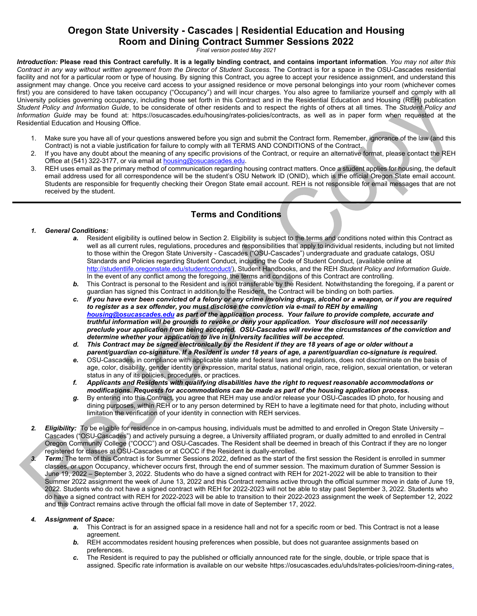## **Oregon State University - Cascades | Residential Education and Housing Room and Dining Contract Summer Sessions 2022**

*Final version posted May 2021*

*Introduction:* **Please read this Contract carefully. It is a legally binding contract, and contains important information**. *You may not alter this Contract in any way without written agreement from the Director of Student Success.* The Contract is for a space in the OSU-Cascades residential facility and not for a particular room or type of housing. By signing this Contract, you agree to accept your residence assignment, and understand this assignment may change. Once you receive card access to your assigned residence or move personal belongings into your room (whichever comes first) you are considered to have taken occupancy ("Occupancy") and will incur charges. You also agree to familiarize yourself and comply with all University policies governing occupancy, including those set forth in this Contract and in the Residential Education and Housing (REH) publication *Student Policy and Information Guide*, to be considerate of other residents and to respect the rights of others at all times. The *Student Policy and Information Guide* may be found at: [https://osucascades.edu/housing/rates-policies/contracts,](https://osucascades.edu/housing/rates-policies/contracts) as well as in paper form when requested at the Residential Education and Housing Office.

- 1. Make sure you have all of your questions answered before you sign and submit the Contract form. Remember, ignorance of the law (and this Contract) is not a viable justification for failure to comply with all TERMS AND CONDITIONS of the Contract.
- 2. If you have any doubt about the meaning of any specific provisions of the Contract, or require an alternative format, please contact the REH Office at (541) 322-3177, or via email at **housing@osucascades.edu**.
- 3. REH uses email as the primary method of communication regarding housing contract matters. Once a student applies for housing, the default email address used for all correspondence will be the student's OSU Network ID (ONID), which is the official Oregon State email account. Students are responsible for frequently checking their Oregon State email account. REH is not responsible for email messages that are not received by the student.

### **Terms and Conditions**

# *1. General Conditions:*

- Resident eligibility is outlined below in Section 2. Eligibility is subject to the terms and conditions noted within this Contract as well as all current rules, regulations, procedures and responsibilities that apply to individual residents, including but not limited to those within the Oregon State University - Cascades ("OSU-Cascades") undergraduate and graduate catalogs, OSU Standards and Policies regarding Student Conduct, including the Code of Student Conduct, (available online at [http://studentlife.oregonstate.edu/studentconduct/\)](http://studentlife.oregonstate.edu/studentconduct/), Student Handbooks, and the REH *Student Policy and Information Guide*. In the event of any conflict among the foregoing, the terms and conditions of this Contract are controlling.
- *b.* This Contract is personal to the Resident and is not transferable by the Resident. Notwithstanding the foregoing, if a parent or guardian has signed this Contract in addition to the Resident, the Contract will be binding on both parties.
- *c. If you have ever been convicted of a felony or any crime involving drugs, alcohol or a weapon, or if you are required to register as a sex offender, you must disclose the conviction via e-mail to REH by emailing [housing@osucascades.edu](mailto:housing@osucascades.edu) as part of the application process. Your failure to provide complete, accurate and truthful information will be grounds to revoke or deny your application. Your disclosure will not necessarily preclude your application from being accepted. OSU-Cascades will review the circumstances of the conviction and determine whether your application to live in University facilities will be accepted.*
- *d. This Contract may be signed electronically by the Resident if they are 18 years of age or older without a parent/guardian co-signature. If a Resident is under 18 years of age, a parent/guardian co-signature is required.*
- *e.* OSU-Cascades, in compliance with applicable state and federal laws and regulations, does not discriminate on the basis of age, color, disability, gender identity or expression, marital status, national origin, race, religion, sexual orientation, or veteran status in any of its policies, procedures, or practices.
- *f. Applicants and Residents with qualifying disabilities have the right to request reasonable accommodations or modifications. Requests for accommodations can be made as part of the housing application process.*
- *g.* By entering into this Contract, you agree that REH may use and/or release your OSU-Cascades ID photo, for housing and dining purposes, within REH or to any person determined by REH to have a legitimate need for that photo, including without limitation the verification of your identity in connection with REH services.
- *2. Eligibility:* To be eligible for residence in on-campus housing, individuals must be admitted to and enrolled in Oregon State University Cascades ("OSU-Cascades") and actively pursuing a degree, a University affiliated program, or dually admitted to and enrolled in Central Oregon Community College ("COCC") and OSU-Cascades. The Resident shall be deemed in breach of this Contract if they are no longer registered for classes at OSU-Cascades or at COCC if the Resident is dually-enrolled.
- *3. Term:* The term of this Contract is for Summer Sessions 2022, defined as the start of the first session the Resident is enrolled in summer classes, or upon Occupancy, whichever occurs first, through the end of summer session. The maximum duration of Summer Session is June 19, 2022 – September 3, 2022. Students who do have a signed contract with REH for 2021-2022 will be able to transition to their Summer 2022 assignment the week of June 13, 2022 and this Contract remains active through the official summer move in date of June 19, 2022. Students who do not have a signed contract with REH for 2022-2023 will not be able to stay past September 3, 2022. Students who do have a signed contract with REH for 2022-2023 will be able to transition to their 2022-2023 assignment the week of September 12, 2022 and this Contract remains active through the official fall move in date of September 17, 2022.

#### *4. Assignment of Space:*

- *a.* This Contract is for an assigned space in a residence hall and not for a specific room or bed. This Contract is not a lease agreement.
- **b.** REH accommodates resident housing preferences when possible, but does not guarantee assignments based on preferences.
- *c.* The Resident is required to pay the published or officially announced rate for the single, double, or triple space that is assigned. Specific rate information is available on our website [https://osucascades.edu/uhds/rates-policies/room-dining-rates.](https://osucascades.edu/uhds/rates-policies/room-dining-rates)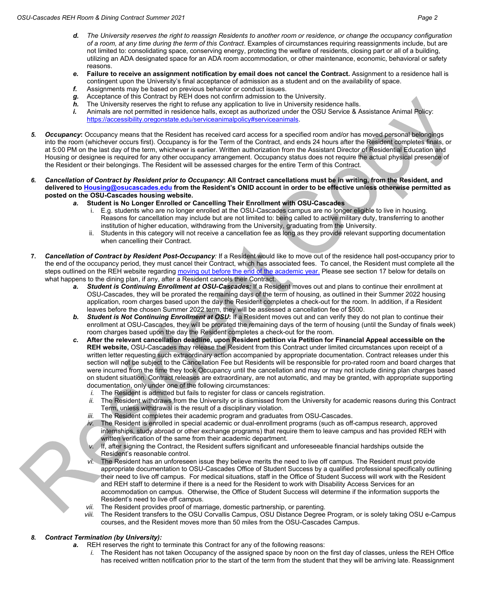- *d. The University reserves the right to reassign Residents to another room or residence, or change the occupancy configuration of a room, at any time during the term of this Contract*. Examples of circumstances requiring reassignments include, but are not limited to: consolidating space, conserving energy, protecting the welfare of residents, closing part or all of a building, utilizing an ADA designated space for an ADA room accommodation, or other maintenance, economic, behavioral or safety reasons.
- *e.* **Failure to receive an assignment notification by email does not cancel the Contract.** Assignment to a residence hall is contingent upon the University's final acceptance of admission as a student and on the availability of space.
- *f.* Assignments may be based on previous behavior or conduct issues.
- *g.* Acceptance of this Contract by REH does not confirm admission to the University.
- *h.* The University reserves the right to refuse any application to live in University residence halls.
- *i.* Animals are not permitted in residence halls, except as authorized under the OSU Service & Assistance Animal Policy: [https://accessibility.oregonstate.edu/serviceanimalpolicy#serviceanimals.](https://accessibility.oregonstate.edu/serviceanimalpolicy#serviceanimals)
- *5. Occupancy***:** Occupancy means that the Resident has received card access for a specified room and/or has moved personal belongings into the room (whichever occurs first). Occupancy is for the Term of the Contract, and ends 24 hours after the Resident completes finals, or at 5:00 PM on the last day of the term, whichever is earlier. Written authorization from the Assistant Director of Residential Education and Housing or designee is required for any other occupancy arrangement. Occupancy status does not require the actual physical presence of the Resident or their belongings. The Resident will be assessed charges for the entire Term of this Contract.
- *6. Cancellation of Contract by Resident prior to Occupancy***: All Contract cancellations must be in writing, from the Resident, and delivered t[o Housing@osucascades.edu](mailto:Housing@osucascades.edu) from the Resident's ONID account in order to be effective unless otherwise permitted as posted on the OSU-Cascades housing website.** 
	- *a.* **Student is No Longer Enrolled or Cancelling Their Enrollment with OSU-Cascades**
		- i. E.g. students who are no longer enrolled at the OSU-Cascades campus are no longer eligible to live in housing. Reasons for cancellation may include but are not limited to: being called to active military duty, transferring to another institution of higher education, withdrawing from the University, graduating from the University.
		- ii. Students in this category will not receive a cancellation fee as long as they provide relevant supporting documentation when cancelling their Contract.
- **7.** *Cancellation of Contract by Resident Post-Occupancy:* If a Resident would like to move out of the residence hall post-occupancy prior to the end of the occupancy period, they must cancel their Contract, which has associated fees. To cancel, the Resident must complete all the steps outlined on the REH website regarding [moving out before the end of the academic year.](https://osucascades.edu/uhds/rates-policies/moving-out) Please see section 17 below for details on what happens to the dining plan, if any, after a Resident cancels their Contract.
	- *a. Student is Continuing Enrollment at OSU-Cascades:* If a Resident moves out and plans to continue their enrollment at OSU-Cascades, they will be prorated the remaining days of the term of housing, as outlined in their Summer 2022 housing application, room charges based upon the day the Resident completes a check-out for the room. In addition, if a Resident leaves before the chosen Summer 2022 term, they will be assessed a cancellation fee of \$500.
	- *b. Student is Not Continuing Enrollment at OSU***:** If a Resident moves out and can verify they do not plan to continue their enrollment at OSU-Cascades, they will be prorated the remaining days of the term of housing (until the Sunday of finals week) room charges based upon the day the Resident completes a check-out for the room.
	- *c.* **After the relevant cancellation deadline, upon Resident petition via Petition for Financial Appeal accessible on the REH website,** OSU-Cascades may release the Resident from this Contract under limited circumstances upon receipt of a written letter requesting such extraordinary action accompanied by appropriate documentation. Contract releases under this section will not be subject to the Cancellation Fee but Residents will be responsible for pro-rated room and board charges that were incurred from the time they took Occupancy until the cancellation and may or may not include dining plan charges based on student situation. Contract releases are extraordinary, are not automatic, and may be granted, with appropriate supporting documentation, only under one of the following circumstances:
		- *i.* The Resident is admitted but fails to register for class or cancels registration.
		- *ii.* The Resident withdraws from the University or is dismissed from the University for academic reasons during this Contract Term, unless withdrawal is the result of a disciplinary violation.
		- *iii.* The Resident completes their academic program and graduates from OSU-Cascades.
		- *iv.* The Resident is enrolled in special academic or dual-enrollment programs (such as off-campus research, approved internships, study abroad or other exchange programs) that require them to leave campus and has provided REH with written verification of the same from their academic department.
		- *v.* If, after signing the Contract, the Resident suffers significant and unforeseeable financial hardships outside the Resident's reasonable control.
		- *vi.* The Resident has an unforeseen issue they believe merits the need to live off campus. The Resident must provide appropriate documentation to OSU-Cascades Office of Student Success by a qualified professional specifically outlining their need to live off campus. For medical situations, staff in the Office of Student Success will work with the Resident and REH staff to determine if there is a need for the Resident to work with Disability Access Services for an accommodation on campus. Otherwise, the Office of Student Success will determine if the information supports the Resident's need to live off campus.
		- *vii.* The Resident provides proof of marriage, domestic partnership, or parenting.
		- *viii.* The Resident transfers to the OSU Corvallis Campus, OSU Distance Degree Program, or is solely taking OSU e-Campus courses, and the Resident moves more than 50 miles from the OSU-Cascades Campus.

#### *8. Contract Termination (by University):*

- *a.* REH reserves the right to terminate this Contract for any of the following reasons:
	- *i.* The Resident has not taken Occupancy of the assigned space by noon on the first day of classes, unless the REH Office has received written notification prior to the start of the term from the student that they will be arriving late. Reassignment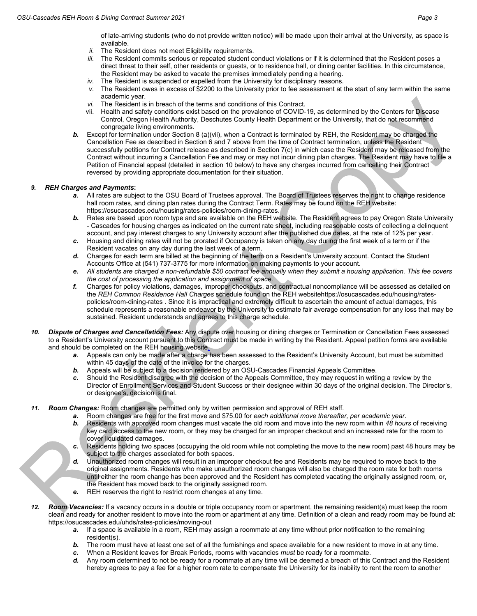of late-arriving students (who do not provide written notice) will be made upon their arrival at the University, as space is available.

- *ii.* The Resident does not meet Eligibility requirements.
- *iii.* The Resident commits serious or repeated student conduct violations or if it is determined that the Resident poses a direct threat to their self, other residents or guests, or to residence hall, or dining center facilities. In this circumstance, the Resident may be asked to vacate the premises immediately pending a hearing.
- *iv.* The Resident is suspended or expelled from the University for disciplinary reasons.
- *v.* The Resident owes in excess of \$2200 to the University prior to fee assessment at the start of any term within the same academic year.
- *vi.* The Resident is in breach of the terms and conditions of this Contract.
- vii. Health and safety conditions exist based on the prevalence of COVID-19, as determined by the Centers for Disease Control, Oregon Health Authority, Deschutes County Health Department or the University, that do not recommend congregate living environments.
- **b.** Except for termination under Section 8 (a)(vii), when a Contract is terminated by REH, the Resident may be charged the Cancellation Fee as described in Section 6 and 7 above from the time of Contract termination, unless the Resident successfully petitions for Contract release as described in Section 7(c) in which case the Resident may be released from the Contract without incurring a Cancellation Fee and may or may not incur dining plan charges. The Resident may have to file a Petition of Financial appeal (detailed in section 10 below) to have any charges incurred from cancelling their Contract reversed by providing appropriate documentation for their situation.

#### *9. REH Charges and Payments***:**

- *a.* All rates are subject to the OSU Board of Trustees approval. The Board of Trustees reserves the right to change residence hall room rates, and dining plan rates during the Contract Term. Rates may be found on the REH website: [https://osucascades.edu/housing/rates-policies/room-dining-rates.](https://osucascades.edu/housing/rates-policies/room-dining-rates)
- *b.* Rates are based upon room type and are available on the REH website. The Resident agrees to pay Oregon State University - Cascades for housing charges as indicated on the current rate sheet, including reasonable costs of collecting a delinquent account, and pay interest charges to any University account after the published due dates, at the rate of 12% per year.
- *c.* Housing and dining rates will not be prorated if Occupancy is taken on any day during the first week of a term or if the Resident vacates on any day during the last week of a term.
- *d.* Charges for each term are billed at the beginning of the term on a Resident's University account. Contact the Student Accounts Office at (541) 737-3775 for more information on making payments to your account.
- *e. All students are charged a non-refundable \$50 contract fee annually when they submit a housing application. This fee covers the cost of processing the application and assignment of space.*
- *f.* Charges for policy violations, damages, improper checkouts, and contractual noncompliance will be assessed as detailed on the *REH Common Residence Hall Charges* schedule found on the REH websit[ehttps://osucascades.edu/housing/rates](https://osucascades.edu/housing/rates-policies/room-dining-rates)[policies/room-dining-rates](https://osucascades.edu/housing/rates-policies/room-dining-rates) . Since it is impractical and extremely difficult to ascertain the amount of actual damages, this schedule represents a reasonable endeavor by the University to estimate fair average compensation for any loss that may be sustained. Resident understands and agrees to this charge schedule.
- *10. Dispute of Charges and Cancellation Fees:* Any dispute over housing or dining charges or Termination or Cancellation Fees assessed to a Resident's University account pursuant to this Contract must be made in writing by the Resident. Appeal petition forms are available and should be completed on the REH housing website.
	- *a.* Appeals can only be made after a charge has been assessed to the Resident's University Account, but must be submitted within 45 days of the date of the invoice for the charges.
	- **b.** Appeals will be subject to a decision rendered by an OSU-Cascades Financial Appeals Committee.
	- *c.* Should the Resident disagree with the decision of the Appeals Committee, they may request in writing a review by the Director of Enrollment Services and Student Success or their designee within 30 days of the original decision. The Director's, or designee's, decision is final.
- *11. Room Changes:* Room changes are permitted only by written permission and approval of REH staff.
	- *a.* Room changes are free for the first move and \$75.00 for *each additional move thereafter, per academic year*. *b.* Residents with approved room changes must vacate the old room and move into the new room within *48 hours* of receiving key card access to the new room, or they may be charged for an improper checkout and an increased rate for the room to cover liquidated damages.
	- *c.* Residents holding two spaces (occupying the old room while not completing the move to the new room) past 48 hours may be subject to the charges associated for both spaces.
	- *d.* Unauthorized room changes will result in an improper checkout fee and Residents may be required to move back to the original assignments. Residents who make unauthorized room changes will also be charged the room rate for both rooms until either the room change has been approved and the Resident has completed vacating the originally assigned room, or, the Resident has moved back to the originally assigned room.
	- *e.* REH reserves the right to restrict room changes at any time.
- *12. Room Vacancies:* If a vacancy occurs in a double or triple occupancy room or apartment, the remaining resident(s) must keep the room clean and ready for another resident to move into the room or apartment at any time. Definition of a clean and ready room may be found at: <https://osucascades.edu/uhds/rates-policies/moving-out>
	- *a.* If a space is available in a room, REH may assign a roommate at any time without prior notification to the remaining resident(s).
	- *b.* The room must have at least one set of all the furnishings and space available for a new resident to move in at any time.
	- *c.* When a Resident leaves for Break Periods, rooms with vacancies *must* be ready for a roommate.
	- *d.* Any room determined to not be ready for a roommate at any time will be deemed a breach of this Contract and the Resident hereby agrees to pay a fee for a higher room rate to compensate the University for its inability to rent the room to another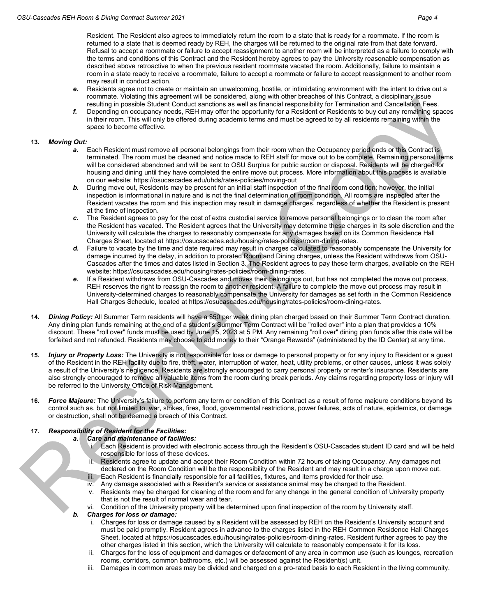Resident. The Resident also agrees to immediately return the room to a state that is ready for a roommate. If the room is returned to a state that is deemed ready by REH, the charges will be returned to the original rate from that date forward. Refusal to accept a roommate or failure to accept reassignment to another room will be interpreted as a failure to comply with the terms and conditions of this Contract and the Resident hereby agrees to pay the University reasonable compensation as described above retroactive to when the previous resident roommate vacated the room. Additionally, failure to maintain a room in a state ready to receive a roommate, failure to accept a roommate or failure to accept reassignment to another room may result in conduct action.

- *e.* Residents agree not to create or maintain an unwelcoming, hostile, or intimidating environment with the intent to drive out a roommate. Violating this agreement will be considered, along with other breaches of this Contract, a disciplinary issue resulting in possible Student Conduct sanctions as well as financial responsibility for Termination and Cancellation Fees.
- *f.* Depending on occupancy needs, REH may offer the opportunity for a Resident or Residents to buy out any remaining spaces in their room. This will only be offered during academic terms and must be agreed to by all residents remaining within the space to become effective.

#### **13.** *Moving Out:*

- *a.* Each Resident must remove all personal belongings from their room when the Occupancy period ends or this Contract is terminated. The room must be cleaned and notice made to REH staff for move out to be complete. Remaining personal items will be considered abandoned and will be sent to OSU Surplus for public auction or disposal. Residents will be charged for housing and dining until they have completed the entire move out process. More information about this process is available on our website[: https://osucascades.edu/uhds/rates-policies/moving-out](https://osucascades.edu/uhds/rates-policies/moving-out)
- *b.* During move out, Residents may be present for an initial staff inspection of the final room condition; however, the initial inspection is informational in nature and is not the final determination of room condition. All rooms are inspected after the Resident vacates the room and this inspection may result in damage charges, regardless of whether the Resident is present at the time of inspection.
- *c.* The Resident agrees to pay for the cost of extra custodial service to remove personal belongings or to clean the room after the Resident has vacated. The Resident agrees that the University may determine these charges in its sole discretion and the University will calculate the charges to reasonably compensate for any damages based on its Common Residence Hall Charges Sheet, located at [https://osucascades.edu/housing/rates-policies/room-dining-rates.](https://osucascades.edu/housing/rates-policies/room-dining-rates)
- *d.* Failure to vacate by the time and date required may result in charges calculated to reasonably compensate the University for damage incurred by the delay, in addition to prorated Room and Dining charges, unless the Resident withdraws from OSU-Cascades after the times and dates listed in Section 3. The Resident agrees to pay these term charges, available on the REH website: [https://osucascades.edu/housing/rates-policies/room-dining-rates.](https://osucascades.edu/housing/rates-policies/room-dining-rates)
- *e.* If a Resident withdraws from OSU-Cascades and moves their belongings out, but has not completed the move out process, REH reserves the right to reassign the room to another resident. A failure to complete the move out process may result in University-determined charges to reasonably compensate the University for damages as set forth in the Common Residence Hall Charges Schedule, located a[t https://osucascades.edu/housing/rates-policies/room-dining-rates.](https://osucascades.edu/housing/rates-policies/room-dining-rates)
- **14.** *Dining Policy:* All Summer Term residents will have a \$50 per week dining plan charged based on their Summer Term Contract duration. Any dining plan funds remaining at the end of a student's Summer Term Contract will be "rolled over" into a plan that provides a 10% discount. These "roll over" funds must be used by June 15, 2023 at 5 PM. Any remaining "roll over" dining plan funds after this date will be forfeited and not refunded. Residents may choose to add money to their "Orange Rewards" (administered by the ID Center) at any time.
- **15.** *Injury or Property Loss:* The University is not responsible for loss or damage to personal property or for any injury to Resident or a guest of the Resident in the REH facility due to fire, theft, water, interruption of water, heat, utility problems, or other causes, unless it was solely a result of the University's negligence. Residents are strongly encouraged to carry personal property or renter's insurance. Residents are also strongly encouraged to remove all valuable items from the room during break periods. Any claims regarding property loss or injury will be referred to the University Office of Risk Management.
- **16.** *Force Majeure:* The University's failure to perform any term or condition of this Contract as a result of force majeure conditions beyond its control such as, but not limited to, war, strikes, fires, flood, governmental restrictions, power failures, acts of nature, epidemics, or damage or destruction, shall not be deemed a breach of this Contract.

#### **17.** *Responsibility of Resident for the Facilities:*

#### *a. Care and maintenance of facilities:*

- i. Each Resident is provided with electronic access through the Resident's OSU-Cascades student ID card and will be held responsible for loss of these devices.
- Residents agree to update and accept their Room Condition within 72 hours of taking Occupancy. Any damages not declared on the Room Condition will be the responsibility of the Resident and may result in a charge upon move out.
- Each Resident is financially responsible for all facilities, fixtures, and items provided for their use.
- iv. Any damage associated with a Resident's service or assistance animal may be charged to the Resident. v. Residents may be charged for cleaning of the room and for any change in the general condition of University property that is not the result of normal wear and tear.
- Condition of the University property will be determined upon final inspection of the room by University staff.
- *b. Charges for loss or damage:*
	- i. Charges for loss or damage caused by a Resident will be assessed by REH on the Resident's University account and must be paid promptly. Resident agrees in advance to the charges listed in the REH Common Residence Hall Charges Sheet, located at [https://osucascades.edu/housing/rates-policies/room-dining-rates.](https://osucascades.edu/housing/rates-policies/room-dining-rates) Resident further agrees to pay the other charges listed in this section, which the University will calculate to reasonably compensate it for its loss.
	- ii. Charges for the loss of equipment and damages or defacement of any area in common use (such as lounges, recreation rooms, corridors, common bathrooms, etc.) will be assessed against the Resident(s) unit.
	- iii. Damages in common areas may be divided and charged on a pro-rated basis to each Resident in the living community.